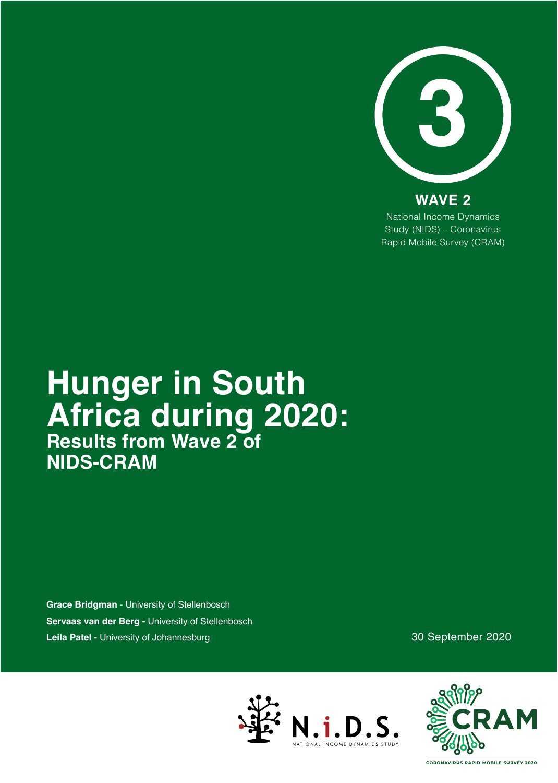

National Income Dynamics Study (NIDS) – Coronavirus Rapid Mobile Survey (CRAM) **WAVE 2**

## **Hunger in South Africa during 2020: Results from Wave 2 of NIDS-CRAM**

**Grace Bridgman** - University of Stellenbosch **Servaas van der Berg -** University of Stellenbosch **Leila Patel -** University of Johannesburg

30 September 2020





CORONAVIRUS RAPID MOBILE SURVEY 2020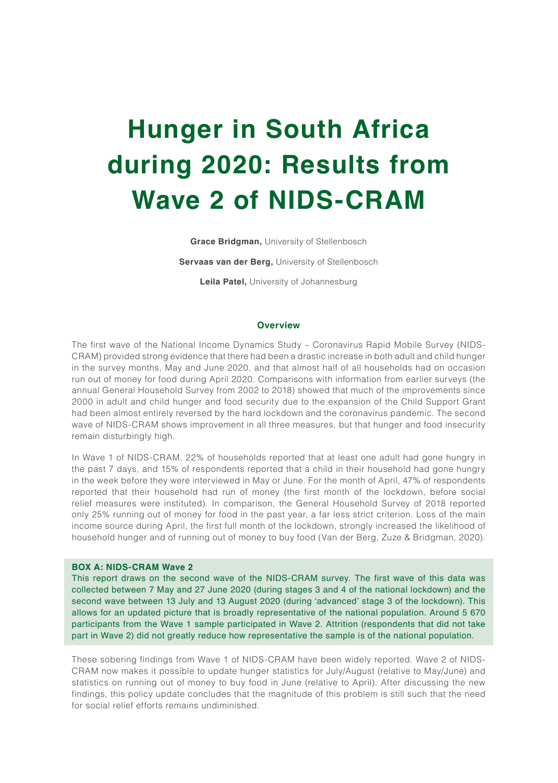# **Hunger in South Africa during 2020: Results from Wave 2 of NIDS-CRAM**

**Grace Bridgman,** University of Stellenbosch

**Servaas van der Berg,** University of Stellenbosch

**Leila Patel,** University of Johannesburg

#### **Overview**

The first wave of the National Income Dynamics Study – Coronavirus Rapid Mobile Survey (NIDS-CRAM) provided strong evidence that there had been a drastic increase in both adult and child hunger in the survey months, May and June 2020, and that almost half of all households had on occasion run out of money for food during April 2020. Comparisons with information from earlier surveys (the annual General Household Survey from 2002 to 2018) showed that much of the improvements since 2000 in adult and child hunger and food security due to the expansion of the Child Support Grant had been almost entirely reversed by the hard lockdown and the coronavirus pandemic. The second wave of NIDS-CRAM shows improvement in all three measures, but that hunger and food insecurity remain disturbingly high.

In Wave 1 of NIDS-CRAM, 22% of households reported that at least one adult had gone hungry in the past 7 days, and 15% of respondents reported that a child in their household had gone hungry in the week before they were interviewed in May or June. For the month of April, 47% of respondents reported that their household had run of money (the first month of the lockdown, before social relief measures were instituted). In comparison, the General Household Survey of 2018 reported only 25% running out of money for food in the past year, a far less strict criterion. Loss of the main income source during April, the first full month of the lockdown, strongly increased the likelihood of household hunger and of running out of money to buy food (Van der Berg, Zuze & Bridgman, 2020).

#### **BOX A: NIDS-CRAM Wave 2**

This report draws on the second wave of the NIDS-CRAM survey. The first wave of this data was collected between 7 May and 27 June 2020 (during stages 3 and 4 of the national lockdown) and the second wave between 13 July and 13 August 2020 (during 'advanced' stage 3 of the lockdown). This allows for an updated picture that is broadly representative of the national population. Around 5 670 participants from the Wave 1 sample participated in Wave 2. Attrition (respondents that did not take part in Wave 2) did not greatly reduce how representative the sample is of the national population.

These sobering findings from Wave 1 of NIDS-CRAM have been widely reported. Wave 2 of NIDS-CRAM now makes it possible to update hunger statistics for July/August (relative to May/June) and statistics on running out of money to buy food in June (relative to April). After discussing the new findings, this policy update concludes that the magnitude of this problem is still such that the need for social relief efforts remains undiminished.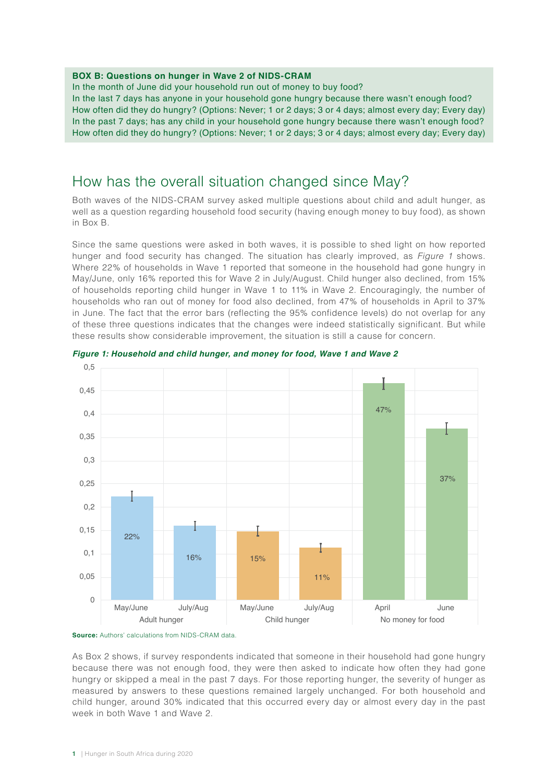#### **BOX B: Questions on hunger in Wave 2 of NIDS-CRAM**

In the month of June did your household run out of money to buy food?

In the last 7 days has anyone in your household gone hungry because there wasn't enough food? How often did they do hungry? (Options: Never; 1 or 2 days; 3 or 4 days; almost every day; Every day) In the past 7 days; has any child in your household gone hungry because there wasn't enough food? How often did they do hungry? (Options: Never; 1 or 2 days; 3 or 4 days; almost every day; Every day)

#### How has the overall situation changed since May?

Both waves of the NIDS-CRAM survey asked multiple questions about child and adult hunger, as well as a question regarding household food security (having enough money to buy food), as shown in Box B.

Since the same questions were asked in both waves, it is possible to shed light on how reported hunger and food security has changed. The situation has clearly improved, as *Figure 1* shows. Where 22% of households in Wave 1 reported that someone in the household had gone hungry in May/June, only 16% reported this for Wave 2 in July/August. Child hunger also declined, from 15% of households reporting child hunger in Wave 1 to 11% in Wave 2. Encouragingly, the number of households who ran out of money for food also declined, from 47% of households in April to 37% in June. The fact that the error bars (reflecting the 95% confidence levels) do not overlap for any of these three questions indicates that the changes were indeed statistically significant. But while these results show considerable improvement, the situation is still a cause for concern.





As Box 2 shows, if survey respondents indicated that someone in their household had gone hungry because there was not enough food, they were then asked to indicate how often they had gone hungry or skipped a meal in the past 7 days. For those reporting hunger, the severity of hunger as measured by answers to these questions remained largely unchanged. For both household and child hunger, around 30% indicated that this occurred every day or almost every day in the past week in both Wave 1 and Wave 2.

**Source:** Authors' calculations from NIDS-CRAM data.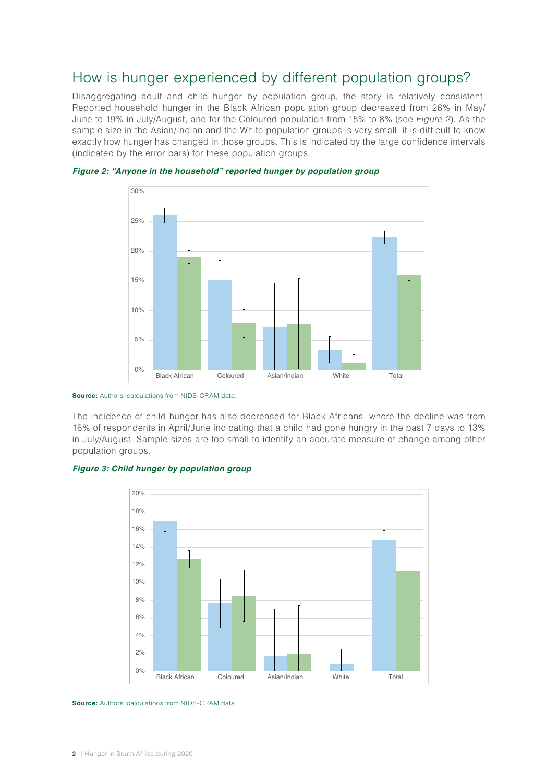## How is hunger experienced by different population groups?

Disaggregating adult and child hunger by population group, the story is relatively consistent. Reported household hunger in the Black African population group decreased from 26% in May/ June to 19% in July/August, and for the Coloured population from 15% to 8% (see *Figure 2*). As the sample size in the Asian/Indian and the White population groups is very small, it is difficult to know exactly how hunger has changed in those groups. This is indicated by the large confidence intervals (indicated by the error bars) for these population groups.



*Figure 2: "Anyone in the household" reported hunger by population group*

The incidence of child hunger has also decreased for Black Africans, where the decline was from 16% of respondents in April/June indicating that a child had gone hungry in the past 7 days to 13% in July/August. Sample sizes are too small to identify an accurate measure of change among other population groups.







**Source:** Authors' calculations from NIDS-CRAM data.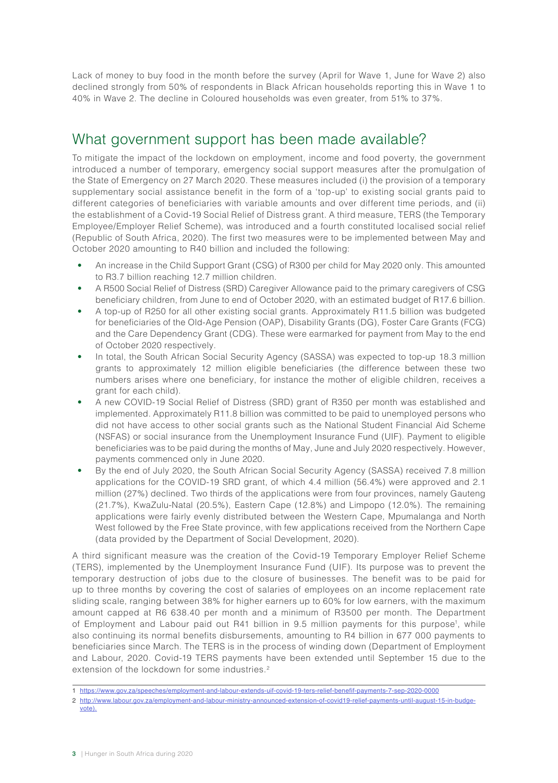Lack of money to buy food in the month before the survey (April for Wave 1, June for Wave 2) also declined strongly from 50% of respondents in Black African households reporting this in Wave 1 to 40% in Wave 2. The decline in Coloured households was even greater, from 51% to 37%.

## What government support has been made available?

To mitigate the impact of the lockdown on employment, income and food poverty, the government introduced a number of temporary, emergency social support measures after the promulgation of the State of Emergency on 27 March 2020. These measures included (i) the provision of a temporary supplementary social assistance benefit in the form of a 'top-up' to existing social grants paid to different categories of beneficiaries with variable amounts and over different time periods, and (ii) the establishment of a Covid-19 Social Relief of Distress grant. A third measure, TERS (the Temporary Employee/Employer Relief Scheme), was introduced and a fourth constituted localised social relief (Republic of South Africa, 2020). The first two measures were to be implemented between May and October 2020 amounting to R40 billion and included the following:

- An increase in the Child Support Grant (CSG) of R300 per child for May 2020 only. This amounted to R3.7 billion reaching 12.7 million children.
- A R500 Social Relief of Distress (SRD) Caregiver Allowance paid to the primary caregivers of CSG beneficiary children, from June to end of October 2020, with an estimated budget of R17.6 billion.
- A top-up of R250 for all other existing social grants. Approximately R11.5 billion was budgeted for beneficiaries of the Old-Age Pension (OAP), Disability Grants (DG), Foster Care Grants (FCG) and the Care Dependency Grant (CDG). These were earmarked for payment from May to the end of October 2020 respectively.
- In total, the South African Social Security Agency (SASSA) was expected to top-up 18.3 million grants to approximately 12 million eligible beneficiaries (the difference between these two numbers arises where one beneficiary, for instance the mother of eligible children, receives a grant for each child).
- A new COVID-19 Social Relief of Distress (SRD) grant of R350 per month was established and implemented. Approximately R11.8 billion was committed to be paid to unemployed persons who did not have access to other social grants such as the National Student Financial Aid Scheme (NSFAS) or social insurance from the Unemployment Insurance Fund (UIF). Payment to eligible beneficiaries was to be paid during the months of May, June and July 2020 respectively. However, payments commenced only in June 2020.
- By the end of July 2020, the South African Social Security Agency (SASSA) received 7.8 million applications for the COVID-19 SRD grant, of which 4.4 million (56.4%) were approved and 2.1 million (27%) declined. Two thirds of the applications were from four provinces, namely Gauteng (21.7%), KwaZulu-Natal (20.5%), Eastern Cape (12.8%) and Limpopo (12.0%). The remaining applications were fairly evenly distributed between the Western Cape, Mpumalanga and North West followed by the Free State province, with few applications received from the Northern Cape (data provided by the Department of Social Development, 2020).

A third significant measure was the creation of the Covid-19 Temporary Employer Relief Scheme (TERS), implemented by the Unemployment Insurance Fund (UIF). Its purpose was to prevent the temporary destruction of jobs due to the closure of businesses. The benefit was to be paid for up to three months by covering the cost of salaries of employees on an income replacement rate sliding scale, ranging between 38% for higher earners up to 60% for low earners, with the maximum amount capped at R6 638.40 per month and a minimum of R3500 per month. The Department of Employment and Labour paid out R41 billion in 9.5 million payments for this purpose1, while also continuing its normal benefits disbursements, amounting to R4 billion in 677 000 payments to beneficiaries since March. The TERS is in the process of winding down (Department of Employment and Labour, 2020. Covid-19 TERS payments have been extended until September 15 due to the extension of the lockdown for some industries.<sup>2</sup>

- 1 <https://www.gov.za/speeches/employment-and-labour-extends-uif-covid-19-ters-relief-benefif-payments-7-sep-2020-0000>
- 2 [http://www.labour.gov.za/employment-and-labour-ministry-announced-extension-of-covid19-relief-payments-until-august-15-in-budge-](http://www.labour.gov.za/employment-and-labour-ministry-announced-extension-of-covid19-relief-payments-until-august-15-in-budge-vote)
- [vote\)](http://www.labour.gov.za/employment-and-labour-ministry-announced-extension-of-covid19-relief-payments-until-august-15-in-budge-vote).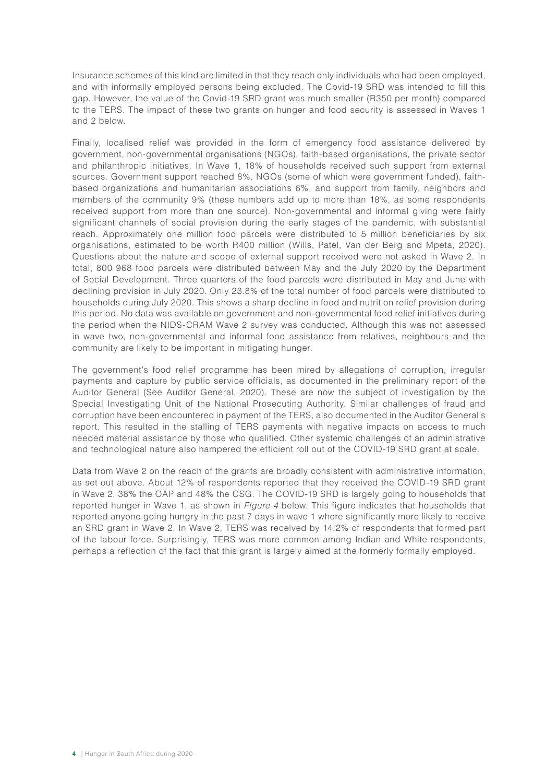Insurance schemes of this kind are limited in that they reach only individuals who had been employed, and with informally employed persons being excluded. The Covid-19 SRD was intended to fill this gap. However, the value of the Covid-19 SRD grant was much smaller (R350 per month) compared to the TERS. The impact of these two grants on hunger and food security is assessed in Waves 1 and 2 below.

Finally, localised relief was provided in the form of emergency food assistance delivered by government, non-governmental organisations (NGOs), faith-based organisations, the private sector and philanthropic initiatives. In Wave 1, 18% of households received such support from external sources. Government support reached 8%, NGOs (some of which were government funded), faithbased organizations and humanitarian associations 6%, and support from family, neighbors and members of the community 9% (these numbers add up to more than 18%, as some respondents received support from more than one source). Non-governmental and informal giving were fairly significant channels of social provision during the early stages of the pandemic, with substantial reach. Approximately one million food parcels were distributed to 5 million beneficiaries by six organisations, estimated to be worth R400 million (Wills, Patel, Van der Berg and Mpeta, 2020). Questions about the nature and scope of external support received were not asked in Wave 2. In total, 800 968 food parcels were distributed between May and the July 2020 by the Department of Social Development. Three quarters of the food parcels were distributed in May and June with declining provision in July 2020. Only 23.8% of the total number of food parcels were distributed to households during July 2020. This shows a sharp decline in food and nutrition relief provision during this period. No data was available on government and non-governmental food relief initiatives during the period when the NIDS-CRAM Wave 2 survey was conducted. Although this was not assessed in wave two, non-governmental and informal food assistance from relatives, neighbours and the community are likely to be important in mitigating hunger.

The government's food relief programme has been mired by allegations of corruption, irregular payments and capture by public service officials, as documented in the preliminary report of the Auditor General (See Auditor General, 2020). These are now the subject of investigation by the Special Investigating Unit of the National Prosecuting Authority. Similar challenges of fraud and corruption have been encountered in payment of the TERS, also documented in the Auditor General's report. This resulted in the stalling of TERS payments with negative impacts on access to much needed material assistance by those who qualified. Other systemic challenges of an administrative and technological nature also hampered the efficient roll out of the COVID-19 SRD grant at scale.

Data from Wave 2 on the reach of the grants are broadly consistent with administrative information, as set out above. About 12% of respondents reported that they received the COVID-19 SRD grant in Wave 2, 38% the OAP and 48% the CSG. The COVID-19 SRD is largely going to households that reported hunger in Wave 1, as shown in *Figure 4* below. This figure indicates that households that reported anyone going hungry in the past 7 days in wave 1 where significantly more likely to receive an SRD grant in Wave 2. In Wave 2, TERS was received by 14.2% of respondents that formed part of the labour force. Surprisingly, TERS was more common among Indian and White respondents, perhaps a reflection of the fact that this grant is largely aimed at the formerly formally employed.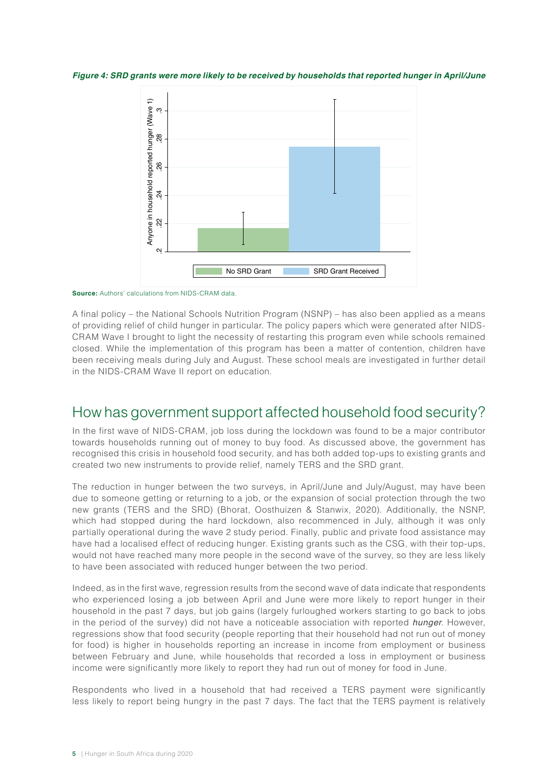*Figure 4: SRD grants were more likely to be received by households that reported hunger in April/June*



**Source:** Authors' calculations from NIDS-CRAM data.

A final policy – the National Schools Nutrition Program (NSNP) – has also been applied as a means of providing relief of child hunger in particular. The policy papers which were generated after NIDS-CRAM Wave I brought to light the necessity of restarting this program even while schools remained closed. While the implementation of this program has been a matter of contention, children have been receiving meals during July and August. These school meals are investigated in further detail in the NIDS-CRAM Wave II report on education.

#### How has government support affected household food security?

In the first wave of NIDS-CRAM, job loss during the lockdown was found to be a major contributor towards households running out of money to buy food. As discussed above, the government has recognised this crisis in household food security, and has both added top-ups to existing grants and created two new instruments to provide relief, namely TERS and the SRD grant.

The reduction in hunger between the two surveys, in April/June and July/August, may have been due to someone getting or returning to a job, or the expansion of social protection through the two new grants (TERS and the SRD) (Bhorat, Oosthuizen & Stanwix, 2020). Additionally, the NSNP, which had stopped during the hard lockdown, also recommenced in July, although it was only partially operational during the wave 2 study period. Finally, public and private food assistance may have had a localised effect of reducing hunger. Existing grants such as the CSG, with their top-ups, would not have reached many more people in the second wave of the survey, so they are less likely to have been associated with reduced hunger between the two period.

Indeed, as in the first wave, regression results from the second wave of data indicate that respondents who experienced losing a job between April and June were more likely to report hunger in their household in the past 7 days, but job gains (largely furloughed workers starting to go back to jobs in the period of the survey) did not have a noticeable association with reported *hunger*. However, regressions show that food security (people reporting that their household had not run out of money for food) is higher in households reporting an increase in income from employment or business between February and June, while households that recorded a loss in employment or business income were significantly more likely to report they had run out of money for food in June.

Respondents who lived in a household that had received a TERS payment were significantly less likely to report being hungry in the past 7 days. The fact that the TERS payment is relatively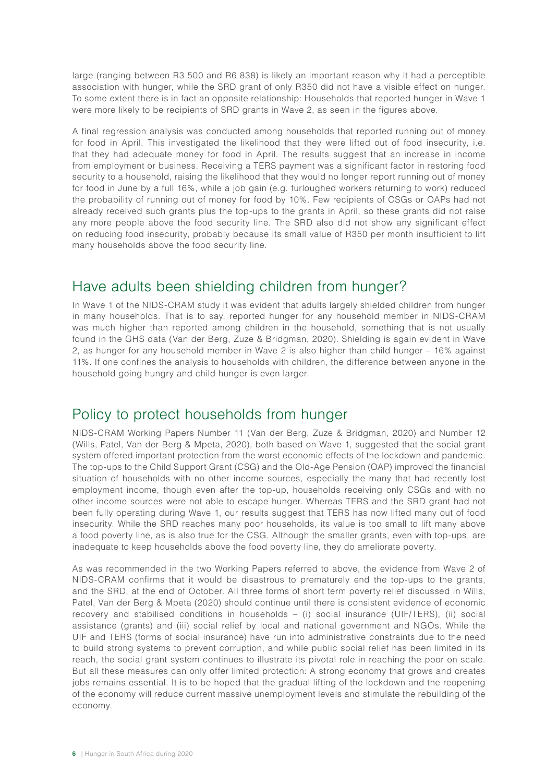large (ranging between R3 500 and R6 838) is likely an important reason why it had a perceptible association with hunger, while the SRD grant of only R350 did not have a visible effect on hunger. To some extent there is in fact an opposite relationship: Households that reported hunger in Wave 1 were more likely to be recipients of SRD grants in Wave 2, as seen in the figures above.

A final regression analysis was conducted among households that reported running out of money for food in April. This investigated the likelihood that they were lifted out of food insecurity, i.e. that they had adequate money for food in April. The results suggest that an increase in income from employment or business. Receiving a TERS payment was a significant factor in restoring food security to a household, raising the likelihood that they would no longer report running out of money for food in June by a full 16%, while a job gain (e.g. furloughed workers returning to work) reduced the probability of running out of money for food by 10%. Few recipients of CSGs or OAPs had not already received such grants plus the top-ups to the grants in April, so these grants did not raise any more people above the food security line. The SRD also did not show any significant effect on reducing food insecurity, probably because its small value of R350 per month insufficient to lift many households above the food security line.

## Have adults been shielding children from hunger?

In Wave 1 of the NIDS-CRAM study it was evident that adults largely shielded children from hunger in many households. That is to say, reported hunger for any household member in NIDS-CRAM was much higher than reported among children in the household, something that is not usually found in the GHS data (Van der Berg, Zuze & Bridgman, 2020). Shielding is again evident in Wave 2, as hunger for any household member in Wave 2 is also higher than child hunger – 16% against 11%. If one confines the analysis to households with children, the difference between anyone in the household going hungry and child hunger is even larger.

## Policy to protect households from hunger

NIDS-CRAM Working Papers Number 11 (Van der Berg, Zuze & Bridgman, 2020) and Number 12 (Wills, Patel, Van der Berg & Mpeta, 2020), both based on Wave 1, suggested that the social grant system offered important protection from the worst economic effects of the lockdown and pandemic. The top-ups to the Child Support Grant (CSG) and the Old-Age Pension (OAP) improved the financial situation of households with no other income sources, especially the many that had recently lost employment income, though even after the top-up, households receiving only CSGs and with no other income sources were not able to escape hunger. Whereas TERS and the SRD grant had not been fully operating during Wave 1, our results suggest that TERS has now lifted many out of food insecurity. While the SRD reaches many poor households, its value is too small to lift many above a food poverty line, as is also true for the CSG. Although the smaller grants, even with top-ups, are inadequate to keep households above the food poverty line, they do ameliorate poverty.

As was recommended in the two Working Papers referred to above, the evidence from Wave 2 of NIDS-CRAM confirms that it would be disastrous to prematurely end the top-ups to the grants, and the SRD, at the end of October. All three forms of short term poverty relief discussed in Wills, Patel, Van der Berg & Mpeta (2020) should continue until there is consistent evidence of economic recovery and stabilised conditions in households – (i) social insurance (UIF/TERS), (ii) social assistance (grants) and (iii) social relief by local and national government and NGOs. While the UIF and TERS (forms of social insurance) have run into administrative constraints due to the need to build strong systems to prevent corruption, and while public social relief has been limited in its reach, the social grant system continues to illustrate its pivotal role in reaching the poor on scale. But all these measures can only offer limited protection: A strong economy that grows and creates jobs remains essential. It is to be hoped that the gradual lifting of the lockdown and the reopening of the economy will reduce current massive unemployment levels and stimulate the rebuilding of the economy.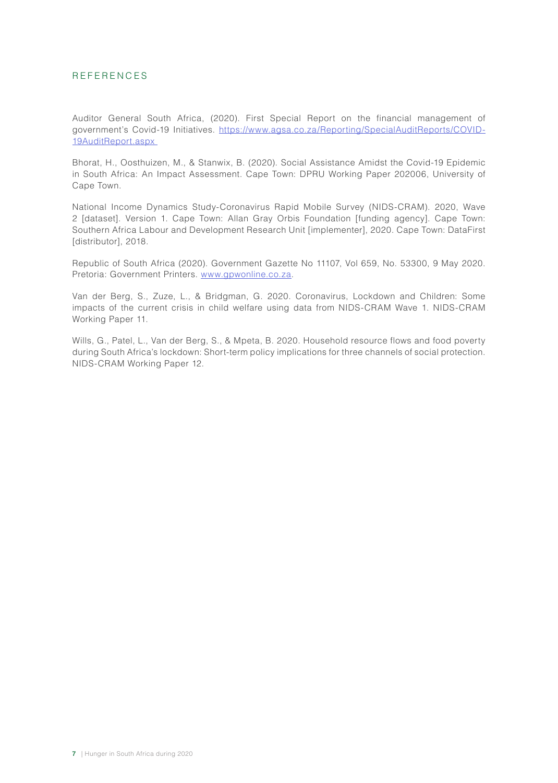#### REFERENCES

Auditor General South Africa, (2020). First Special Report on the financial management of government's Covid-19 Initiatives. [https://www.agsa.co.za/Reporting/SpecialAuditReports/COVID-](https://www.agsa.co.za/Reporting/SpecialAuditReports/COVID-19AuditReport.aspx)[19AuditReport.aspx](https://www.agsa.co.za/Reporting/SpecialAuditReports/COVID-19AuditReport.aspx) 

Bhorat, H., Oosthuizen, M., & Stanwix, B. (2020). Social Assistance Amidst the Covid-19 Epidemic in South Africa: An Impact Assessment. Cape Town: DPRU Working Paper 202006, University of Cape Town.

National Income Dynamics Study-Coronavirus Rapid Mobile Survey (NIDS-CRAM). 2020, Wave 2 [dataset]. Version 1. Cape Town: Allan Gray Orbis Foundation [funding agency]. Cape Town: Southern Africa Labour and Development Research Unit [implementer], 2020. Cape Town: DataFirst [distributor], 2018.

Republic of South Africa (2020). Government Gazette No 11107, Vol 659, No. 53300, 9 May 2020. Pretoria: Government Printers. [www.gpwonline.co.za.](http://www.gpwonline.co.za/)

Van der Berg, S., Zuze, L., & Bridgman, G. 2020. Coronavirus, Lockdown and Children: Some impacts of the current crisis in child welfare using data from NIDS-CRAM Wave 1. NIDS-CRAM Working Paper 11.

Wills, G., Patel, L., Van der Berg, S., & Mpeta, B. 2020. Household resource flows and food poverty during South Africa's lockdown: Short-term policy implications for three channels of social protection. NIDS-CRAM Working Paper 12.